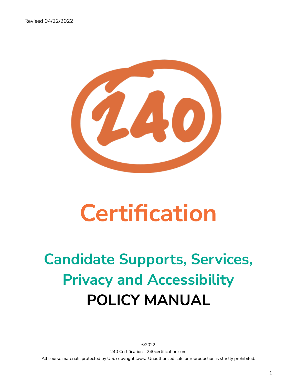

# **Certification**

## **Candidate Supports, Services, Privacy and Accessibility POLICY MANUAL**

©2022 240 Certification - 240certification.com All course materials protected by U.S. copyright laws. Unauthorized sale or reproduction is strictly prohibited.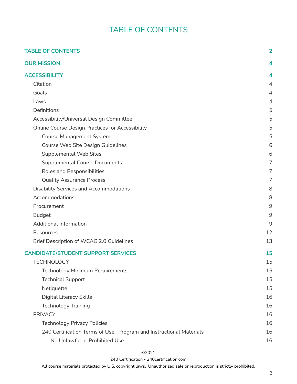## TABLE OF CONTENTS

<span id="page-1-0"></span>

| <b>TABLE OF CONTENTS</b>                                            | $\overline{2}$ |
|---------------------------------------------------------------------|----------------|
| <b>OUR MISSION</b>                                                  | 4              |
| <b>ACCESSIBILITY</b>                                                | 4              |
| Citation                                                            | $\overline{4}$ |
| Goals                                                               | $\overline{4}$ |
| Laws                                                                | 4              |
| Definitions                                                         | 5              |
| Accessibility/Universal Design Committee                            | 5              |
| <b>Online Course Design Practices for Accessibility</b>             | 5              |
| <b>Course Management System</b>                                     | 5              |
| Course Web Site Design Guidelines                                   | 6              |
| <b>Supplemental Web Sites</b>                                       | 6              |
| <b>Supplemental Course Documents</b>                                | 7              |
| Roles and Responsibilities                                          | 7              |
| <b>Quality Assurance Process</b>                                    | 7              |
| <b>Disability Services and Accommodations</b>                       | 8              |
| Accommodations                                                      | 8              |
| Procurement                                                         | 9              |
| <b>Budget</b>                                                       | $9\,$          |
| Additional Information                                              | 9              |
| Resources                                                           | 12             |
| Brief Description of WCAG 2.0 Guidelines                            | 13             |
| <b>CANDIDATE/STUDENT SUPPORT SERVICES</b>                           | 15             |
| <b>TECHNOLOGY</b>                                                   | 15             |
| Technology Minimum Requirements                                     | 15             |
| <b>Technical Support</b>                                            | 15             |
| Netiquette                                                          | 15             |
| <b>Digital Literacy Skills</b>                                      | 16             |
| <b>Technology Training</b>                                          | 16             |
| <b>PRIVACY</b>                                                      | 16             |
| <b>Technology Privacy Policies</b>                                  | 16             |
| 240 Certification Terms of Use: Program and Instructional Materials | 16             |
| No Unlawful or Prohibited Use                                       | 16             |

## ©2021

#### 240 Certification - 240certification.com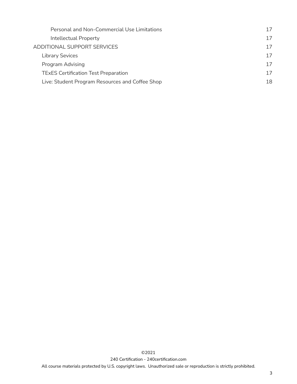| Personal and Non-Commercial Use Limitations     |    |
|-------------------------------------------------|----|
| Intellectual Property                           | 17 |
| ADDITIONAL SUPPORT SERVICES                     | 17 |
| <b>Library Sevices</b>                          | 17 |
| Program Advising                                | 17 |
| <b>TExES Certification Test Preparation</b>     |    |
| Live: Student Program Resources and Coffee Shop | 18 |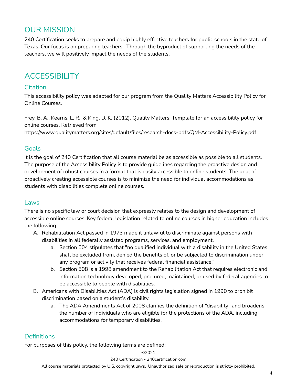## <span id="page-3-0"></span>OUR MISSION

240 Certification seeks to prepare and equip highly effective teachers for public schools in the state of Texas. Our focus is on preparing teachers. Through the byproduct of supporting the needs of the teachers, we will positively impact the needs of the students.

## <span id="page-3-1"></span>**ACCESSIBILITY**

## <span id="page-3-2"></span>**Citation**

This accessibility policy was adapted for our program from the Quality Matters Accessibility Policy for Online Courses.

Frey, B. A., Kearns, L. R., & King, D. K. (2012). Quality Matters: Template for an accessibility policy for online courses. Retrieved from

https://www.qualitymatters.org/sites/default/files/research-docs-pdfs/QM-Accessibility-Policy.pdf

## <span id="page-3-3"></span>Goals

It is the goal of 240 Certification that all course material be as accessible as possible to all students. The purpose of the Accessibility Policy is to provide guidelines regarding the proactive design and development of robust courses in a format that is easily accessible to online students. The goal of proactively creating accessible courses is to minimize the need for individual accommodations as students with disabilities complete online courses.

## <span id="page-3-4"></span>Laws

There is no specific law or court decision that expressly relates to the design and development of accessible online courses. Key federal legislation related to online courses in higher education includes the following:

- A. Rehabilitation Act passed in 1973 made it unlawful to discriminate against persons with disabilities in all federally assisted programs, services, and employment.
	- a. Section 504 stipulates that "no qualified individual with a disability in the United States shall be excluded from, denied the benefits of, or be subjected to discrimination under any program or activity that receives federal financial assistance."
	- b. Section 508 is a 1998 amendment to the Rehabilitation Act that requires electronic and information technology developed, procured, maintained, or used by federal agencies to be accessible to people with disabilities.
- B. Americans with Disabilities Act (ADA) is civil rights legislation signed in 1990 to prohibit discrimination based on a student's disability.
	- a. The ADA Amendments Act of 2008 clarifies the definition of "disability" and broadens the number of individuals who are eligible for the protections of the ADA, including accommodations for temporary disabilities.

## <span id="page-3-5"></span>**Definitions**

For purposes of this policy, the following terms are defined:

## ©2021

240 Certification - 240certification.com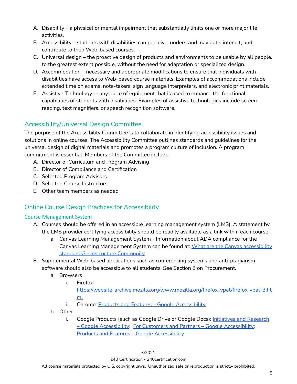- A. Disability a physical or mental impairment that substantially limits one or more major life activities.
- B. Accessibility students with disabilities can perceive, understand, navigate, interact, and contribute to their Web-based courses.
- C. Universal design the proactive design of products and environments to be usable by all people, to the greatest extent possible, without the need for adaptation or specialized design.
- D. Accommodation necessary and appropriate modifications to ensure that individuals with disabilities have access to Web-based course materials. Examples of accommodations include extended time on exams, note-takers, sign language interpreters, and electronic print materials.
- E. Assistive Technology -- any piece of equipment that is used to enhance the functional capabilities of students with disabilities. Examples of assistive technologies include screen reading, text magnifiers, or speech recognition software.

## <span id="page-4-0"></span>Accessibility/Universal Design Committee

The purpose of the Accessibility Committee is to collaborate in identifying accessibility issues and solutions in online courses. The Accessibility Committee outlines standards and guidelines for the universal design of digital materials and promotes a program culture of inclusion. A program commitment is essential. Members of the Committee include:

- A. Director of Curriculum and Program Advising
- B. Director of Compliance and Certification
- C. Selected Program Advisors
- D. Selected Course Instructors
- E. Other team members as needed

## <span id="page-4-1"></span>Online Course Design Practices for Accessibility

## <span id="page-4-2"></span>Course Management System

- A. Courses should be offered in an accessible learning management system (LMS). A statement by the LMS provider certifying accessibility should be readily available as a link within each course.
	- a. Canvas Learning Management System Information about ADA compliance for the Canvas Learning Management System can be found at: What are the Canvas [accessibility](https://community.canvaslms.com/t5/Accessibility/Accessibility-within-Canvas/ba-p/261501) standards? - Instructure [Community](https://community.canvaslms.com/t5/Accessibility/Accessibility-within-Canvas/ba-p/261501)
- B. Supplemental Web-based applications such as conferencing systems and anti-plagiarism software should also be accessible to all students. See Section 8 on Procurement.
	- a. Browsers
		- i. Firefox:

[https://website-archive.mozilla.org/www.mozilla.org/firefox\\_vpat/firefox-vpat-3.ht](https://website-archive.mozilla.org/www.mozilla.org/firefox_vpat/firefox-vpat-3.html) [ml](https://website-archive.mozilla.org/www.mozilla.org/firefox_vpat/firefox-vpat-3.html)

- ii. Chrome: Products and Features Google [Accessibility](https://www.google.com/accessibility/products-features.html)
- b. Other
	- i. Google Products (such as Google Drive or Google Docs): [Initiatives](https://www.google.com/accessibility/initiatives-research.html) and Research – Google [Accessibility](https://www.google.com/accessibility/initiatives-research.html); For Customers and Partners – Google [Accessibility](https://www.google.com/accessibility/customers-partners/); Products and Features – Google [Accessibility](https://www.google.com/accessibility/products-features/)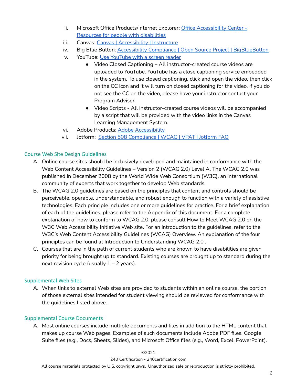- ii. Microsoft Office Products/Internet Explorer: Office [Accessibility](https://support.office.com/en-us/article/Office-Accessibility-Center-Resources-for-people-with-disabilities-ecab0fcf-d143-4fe8-a2ff-6cd596bddc6d?ui=en-US&rs=en-US&ad=US) Center Resources for people with [disabilities](https://support.office.com/en-us/article/Office-Accessibility-Center-Resources-for-people-with-disabilities-ecab0fcf-d143-4fe8-a2ff-6cd596bddc6d?ui=en-US&rs=en-US&ad=US)
- iii. Canvas: Canvas | [Accessibility](https://www.canvaslms.com/accessibility) | Instructure
- iv. Big Blue Button: Accessibility Compliance | Open Source Project | [BigBlueButton](https://bigbluebutton.org/accessibility/)
- v. YouTube: Use [YouTube](https://support.google.com/youtube/answer/189278?hl=en) with a screen reader
	- Video Closed Captioning All instructor-created course videos are uploaded to YouTube. YouTube has a close captioning service embedded in the system. To use closed captioning, click and open the video, then click on the CC icon and it will turn on closed captioning for the video. If you do not see the CC on the video, please have your instructor contact your Program Advisor.
	- Video Scripts All instructor-created course videos will be accompanied by a script that will be provided with the video links in the Canvas Learning Management System.
- vi. Adobe Products: Adobe [Accessibility](https://www.adobe.com/accessibility.html)
- vii. Jotform: Section 508 [Compliance](https://www.jotform.com/accessible-forms/faq/) | WCAG | VPAT | Jotform FAQ

## <span id="page-5-0"></span>Course Web Site Design Guidelines

- A. Online course sites should be inclusively developed and maintained in conformance with the Web Content Accessibility Guidelines – Version 2 (WCAG 2.0) Level A. The WCAG 2.0 was published in December 2008 by the World Wide Web Consortium (W3C), an international community of experts that work together to develop Web standards.
- B. The WCAG 2.0 guidelines are based on the principles that content and controls should be perceivable, operable, understandable, and robust enough to function with a variety of assistive technologies. Each principle includes one or more guidelines for practice. For a brief explanation of each of the guidelines, please refer to the Appendix of this document. For a complete explanation of how to conform to WCAG 2.0, please consult How to Meet WCAG 2.0 on the W3C Web Accessibility Initiative Web site. For an introduction to the guidelines, refer to the W3C's Web Content Accessibility Guidelines (WCAG) Overview. An explanation of the four principles can be found at Introduction to Understanding WCAG 2.0 .
- C. Courses that are in the path of current students who are known to have disabilities are given priority for being brought up to standard. Existing courses are brought up to standard during the next revision cycle (usually  $1 - 2$  years).

## <span id="page-5-1"></span>Supplemental Web Sites

A. When links to external Web sites are provided to students within an online course, the portion of those external sites intended for student viewing should be reviewed for conformance with the guidelines listed above.

## <span id="page-5-2"></span>Supplemental Course Documents

A. Most online courses include multiple documents and files in addition to the HTML content that makes up course Web pages. Examples of such documents include Adobe PDF files, Google Suite files (e.g., Docs, Sheets, Slides), and Microsoft Office files (e.g., Word, Excel, PowerPoint).

#### ©2021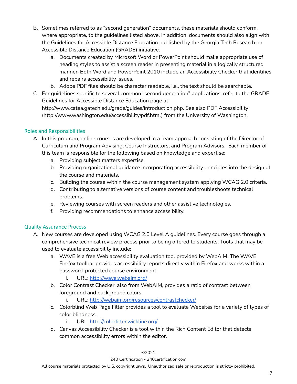- B. Sometimes referred to as "second generation" documents, these materials should conform, where appropriate, to the guidelines listed above. In addition, documents should also align with the Guidelines for Accessible Distance Education published by the Georgia Tech Research on Accessible Distance Education (GRADE) initiative.
	- a. Documents created by Microsoft Word or PowerPoint should make appropriate use of heading styles to assist a screen reader in presenting material in a logically structured manner. Both Word and PowerPoint 2010 include an Accessibility Checker that identifies and repairs accessibility issues.
	- b. Adobe PDF files should be character readable, i.e., the text should be searchable.
- C. For guidelines specific to several common "second generation" applications, refer to the GRADE Guidelines for Accessible Distance Education page at http://www.catea.gatech.edu/grade/guides/introduction.php. See also PDF Accessibility (http://www.washington.edu/accessibility/pdf.html) from the University of Washington.

## <span id="page-6-0"></span>Roles and Responsibilities

- A. In this program, online courses are developed in a team approach consisting of the Director of Curriculum and Program Advising, Course Instructors, and Program Advisors. Each member of this team is responsible for the following based on knowledge and expertise:
	- a. Providing subject matters expertise.
	- b. Providing organizational guidance incorporating accessibility principles into the design of the course and materials.
	- c. Building the course within the course management system applying WCAG 2.0 criteria.
	- d. Contributing to alternative versions of course content and troubleshoots technical problems.
	- e. Reviewing courses with screen readers and other assistive technologies.
	- f. Providing recommendations to enhance accessibility.

## <span id="page-6-1"></span>Quality Assurance Process

- A. New courses are developed using WCAG 2.0 Level A guidelines. Every course goes through a comprehensive technical review process prior to being offered to students. Tools that may be used to evaluate accessibility include:
	- a. WAVE is a free Web accessibility evaluation tool provided by WebAIM. The WAVE Firefox toolbar provides accessibility reports directly within Firefox and works within a password-protected course environment.
		- i. URL: <http://wave.webaim.org/>
	- b. Color Contrast Checker, also from WebAIM, provides a ratio of contrast between foreground and background colors.
		- i. URL: <http://webaim.org/resources/contrastchecker/>
	- c. Colorblind Web Page Filter provides a tool to evaluate Websites for a variety of types of color blindness.
		- i. URL: <http://colorfilter.wickline.org/>
	- d. Canvas Accessibility Checker is a tool within the Rich Content Editor that detects common accessibility errors within the editor.

#### ©2021

#### 240 Certification - 240certification.com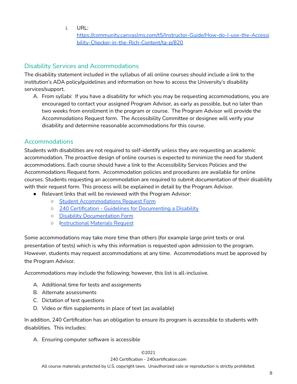i. URL:

[https://community.canvaslms.com/t5/Instructor-Guide/How-do-I-use-the-Accessi](https://community.canvaslms.com/t5/Instructor-Guide/How-do-I-use-the-Accessibility-Checker-in-the-Rich-Content/ta-p/820) [bility-Checker-in-the-Rich-Content/ta-p/820](https://community.canvaslms.com/t5/Instructor-Guide/How-do-I-use-the-Accessibility-Checker-in-the-Rich-Content/ta-p/820)

## <span id="page-7-0"></span>Disability Services and Accommodations

The disability statement included in the syllabus of all online courses should include a link to the institution's ADA policy/guidelines and information on how to access the University's disability services/support.

A. From syllabi: If you have a disability for which you may be requesting accommodations, you are encouraged to contact your assigned Program Advisor, as early as possible, but no later than two weeks from enrollment in the program or course. The Program Advisor will provide the Accommodations Request form. The Accessibility Committee or designee will verify your disability and determine reasonable accommodations for this course.

## <span id="page-7-1"></span>Accommodations

Students with disabilities are not required to self-identify unless they are requesting an academic accommodation. The proactive design of online courses is expected to minimize the need for student accommodations. Each course should have a link to the Accessibility Services Policies and the Accommodations Request form. Accommodation policies and procedures are available for online courses. Students requesting an accommodation are required to submit documentation of their disability with their request form. This process will be explained in detail by the Program Advisor.

- Relevant links that will be reviewed with the Program Advisor:
	- Student [Accommodations](https://form.jotform.com/221594220596155) Request Form
	- 240 Certification Guidelines for [Documenting](https://docs.google.com/document/d/1RNmlvvAiGKus7sno4EcTjF-sI1PclgjionIur5V8nwI/edit?usp=sharing) a Disability
	- Disability [Documentation](https://form.jotform.com/221596280961159) Form
	- [Instructional](https://form.jotform.com/221585425906157) Materials Request

Some accommodations may take more time than others (for example large print texts or oral presentation of tests) which is why this information is requested upon admission to the program. However, students may request accommodations at any time. Accommodations must be approved by the Program Advisor.

Accommodations may include the following; however, this list is all-inclusive.

- A. Additional time for tests and assignments
- B. Alternate assessments
- C. Dictation of test questions
- D. Video or film supplements in place of text (as available)

In addition, 240 Certification has an obligation to ensure its program is accessible to students with disabilities. This includes:

A. Ensuring computer software is accessible

## ©2021

240 Certification - 240certification.com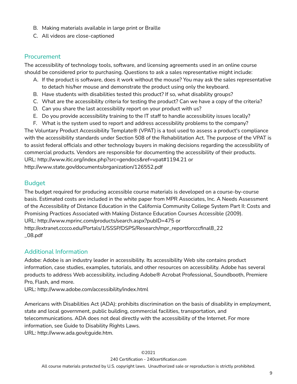- B. Making materials available in large print or Braille
- C. All videos are close-captioned

## <span id="page-8-0"></span>Procurement

The accessibility of technology tools, software, and licensing agreements used in an online course should be considered prior to purchasing. Questions to ask a sales representative might include:

- A. If the product is software, does it work without the mouse? You may ask the sales representative to detach his/her mouse and demonstrate the product using only the keyboard.
- B. Have students with disabilities tested this product? If so, what disability groups?
- C. What are the accessibility criteria for testing the product? Can we have a copy of the criteria?
- D. Can you share the last accessibility report on your product with us?
- E. Do you provide accessibility training to the IT staff to handle accessibility issues locally?
- F. What is the system used to report and address accessibility problems to the company?

The Voluntary Product Accessibility Template® (VPAT) is a tool used to assess a product's compliance with the accessibility standards under Section 508 of the Rehabilitation Act. The purpose of the VPAT is to assist federal officials and other technology buyers in making decisions regarding the accessibility of commercial products. Vendors are responsible for documenting the accessibility of their products. URL: http://www.itic.org/index.php?src=gendocs&ref=vpat#1194.21 or http://www.state.gov/documents/organization/126552.pdf

## <span id="page-8-1"></span>Budget

The budget required for producing accessible course materials is developed on a course-by-course basis. Estimated costs are included in the white paper from MPR Associates, Inc. A Needs Assessment of the Accessibility of Distance Education in the California Community College System Part II: Costs and Promising Practices Associated with Making Distance Education Courses Accessible (2009). URL: http://www.mprinc.com/products/search.aspx?pubID=475 or http://extranet.cccco.edu/Portals/1/SSSP/DSPS/Research/mpr\_reportforcccfinal8\_22 \_08.pdf

## <span id="page-8-2"></span>Additional Information

Adobe: Adobe is an industry leader in accessibility. Its accessibility Web site contains product information, case studies, examples, tutorials, and other resources on accessibility. Adobe has several products to address Web accessibility, including Adobe® Acrobat Professional, Soundbooth, Premiere Pro, Flash, and more.

URL: http://www.adobe.com/accessibility/index.html

Americans with Disabilities Act (ADA): prohibits discrimination on the basis of disability in employment, state and local government, public building, commercial facilities, transportation, and telecommunications. ADA does not deal directly with the accessibility of the Internet. For more information, see Guide to Disability Rights Laws. URL: http://www.ada.gov/cguide.htm.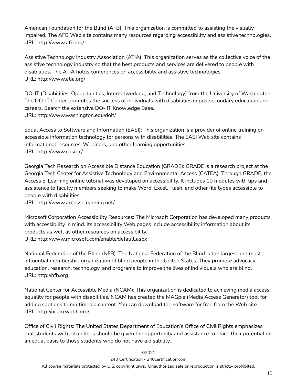American Foundation for the Blind (AFB): This organization is committed to assisting the visually impaired. The AFB Web site contains many resources regarding accessibility and assistive technologies. URL: http://www.afb.org/

Assistive Technology Industry Association (ATIA): This organization serves as the collective voice of the assistive technology industry so that the best products and services are delivered to people with disabilities. The ATIA holds conferences on accessibility and assistive technologies. URL: http://www.atia.org/

DO-IT (Disabilities, Opportunities, Internetworking, and Technology) from the University of Washington: The DO-IT Center promotes the success of individuals with disabilities in postsecondary education and careers. Search the extensive DO- IT Knowledge Base. URL: http://www.washington.edu/doit/

Equal Access to Software and Information (EASI): This organization is a provider of online training on accessible information technology for persons with disabilities. The EASI Web site contains informational resources, Webinars, and other learning opportunities. URL: http://www.easi.cc/

Georgia Tech Research on Accessible Distance Education (GRADE): GRADE is a research project at the Georgia Tech Center for Assistive Technology and Environmental Access (CATEA). Through GRADE, the Access E-Learning online tutorial was developed on accessibility. It includes 10 modules with tips and assistance to faculty members seeking to make Word, Excel, Flash, and other file types accessible to people with disabilities.

URL: http://www.accesselearning.net/

Microsoft Corporation Accessibility Resources: The Microsoft Corporation has developed many products with accessibility in mind. Its accessibility Web pages include accessibility information about its products as well as other resources on accessibility. URL: http://www.microsoft.com/enable/default.aspx

National Federation of the Blind (NFB): The National Federation of the Blind is the largest and most influential membership organization of blind people in the United States. They promote advocacy, education, research, technology, and programs to improve the lives of individuals who are blind. URL: http://nfb.org

National Center for Accessible Media (NCAM): This organization is dedicated to achieving media access equality for people with disabilities. NCAM has created the MAGpie (Media Access Generator) tool for adding captions to multimedia content. You can download the software for free from the Web site. URL: http://ncam.wgbh.org/

Office of Civil Rights: The United States Department of Education's Office of Civil Rights emphasizes that students with disabilities should be given the opportunity and assistance to reach their potential on an equal basis to those students who do not have a disability.

## ©2021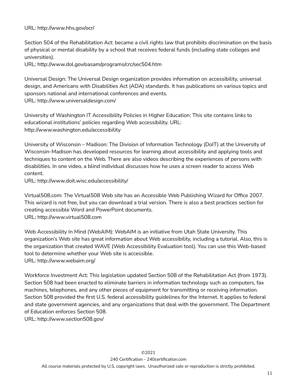## URL: http://www.hhs.gov/ocr/

Section 504 of the Rehabilitation Act: became a civil rights law that prohibits discrimination on the basis of physical or mental disability by a school that receives federal funds (including state colleges and universities).

URL: http://www.dol.gov/oasam/programs/crc/sec504.htm

Universal Design: The Universal Design organization provides information on accessibility, universal design, and Americans with Disabilities Act (ADA) standards. It has publications on various topics and sponsors national and international conferences and events. URL: http://www.universaldesign.com/

University of Washington IT Accessibility Policies in Higher Education: This site contains links to educational institutions' policies regarding Web accessibility. URL: http://www.washington.edu/accessibility

University of Wisconsin – Madison: The Division of Information Technology (DoIT) at the University of Wisconsin-Madison has developed resources for learning about accessibility and applying tools and techniques to content on the Web. There are also videos describing the experiences of persons with disabilities. In one video, a blind individual discusses how he uses a screen reader to access Web content.

URL: http://www.doit.wisc.edu/accessibility/

Virtual508.com: The Virtual508 Web site has an Accessible Web Publishing Wizard for Office 2007. This wizard is not free, but you can download a trial version. There is also a best practices section for creating accessible Word and PowerPoint documents. URL: http://www.virtual508.com

Web Accessibility In Mind (WebAIM): WebAIM is an initiative from Utah State University. This organization's Web site has great information about Web accessibility, including a tutorial. Also, this is the organization that created WAVE (Web Accessibility Evaluation tool). You can use this Web-based tool to determine whether your Web site is accessible. URL: http://www.webaim.org/

Workforce Investment Act: This legislation updated Section 508 of the Rehabilitation Act (from 1973). Section 508 had been enacted to eliminate barriers in information technology such as computers, fax machines, telephones, and any other pieces of equipment for transmitting or receiving information. Section 508 provided the first U.S. federal accessibility guidelines for the Internet. It applies to federal and state government agencies, and any organizations that deal with the government. The Department of Education enforces Section 508.

URL: http://www.section508.gov/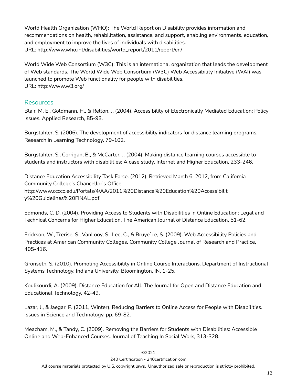World Health Organization (WHO): The World Report on Disability provides information and recommendations on health, rehabilitation, assistance, and support, enabling environments, education, and employment to improve the lives of individuals with disabilities. URL: http://www.who.int/disabilities/world\_report/2011/report/en/

World Wide Web Consortium (W3C): This is an international organization that leads the development of Web standards. The World Wide Web Consortium (W3C) Web Accessibility Initiative (WAI) was launched to promote Web functionality for people with disabilities. URL: http://www.w3.org/

## <span id="page-11-0"></span>Resources

Blair, M. E., Goldmann, H., & Relton, J. (2004). Accessibility of Electronically Mediated Education: Policy Issues. Applied Research, 85-93.

Burgstahler, S. (2006). The development of accessibility indicators for distance learning programs. Research in Learning Technology, 79-102.

Burgstahler, S., Corrigan, B., & McCarter, J. (2004). Making distance learning courses accessible to students and instructors with disabilities: A case study. Internet and Higher Education, 233-246.

Distance Education Accessibility Task Force. (2012). Retrieved March 6, 2012, from California Community College's Chancellor's Office: http://www.cccco.edu/Portals/4/AA/2011%20Distance%20Education%20Accessibilit y%20Guidelines%20FINAL.pdf

Edmonds, C. D. (2004). Providing Access to Students with Disabilities in Online Education: Legal and Technical Concerns for Higher Education. The American Journal of Distance Education, 51-62.

Erickson, W., Trerise, S., VanLooy, S., Lee, C., & Bruye`re, S. (2009). Web Accessibility Policies and Practices at American Community Colleges. Community College Journal of Research and Practice, 405-416.

Gronseth, S. (2010). Promoting Accessibility in Online Course Interactions. Department of Instructional Systems Technology, Indiana University, Bloomington, IN, 1-25.

Koulikourdi, A. (2009). Distance Education for All. The Journal for Open and Distance Education and Educational Technology, 42-49.

Lazar, J., & Jaegar, P. (2011, Winter). Reducing Barriers to Online Access for People with Disabilities. Issues in Science and Technology, pp. 69-82.

Meacham, M., & Tandy, C. (2009). Removing the Barriers for Students with Disabilities: Accessible Online and Web-Enhanced Courses. Journal of Teaching In Social Work, 313-328.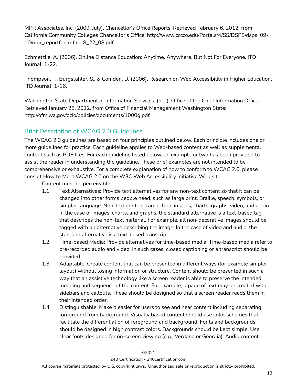MPR Associates, Inc. (2009, July). Chancellor's Office Reports. Retrieved February 6, 2012, from California Community Colleges Chancellor's Office: http://www.cccco.edu/Portals/4/SS/DSPS/dsps\_09- 10/mpr\_reportforcccfinal8\_22\_08.pdf

Schmetzke, A. (2006). Online Distance Education: Anytime, Anywhere, But Not For Everyone. ITD Journal, 1-22.

Thompson, T., Burgstahler, S., & Comden, D. (2006). Research on Web Accessibility in Higher Education. ITD Journal, 1-16.

Washington State Department of Information Services. (n.d.). Office of the Chief Information Officer. Retrieved January 28, 2012, from Office of Financial Management Washington State: http://ofm.wa.gov/ocio/policies/documents/1000g.pdf

## <span id="page-12-0"></span>Brief Description of WCAG 2.0 Guidelines

The WCAG 2.0 guidelines are based on four principles outlined below. Each principle includes one or more guidelines for practice. Each guideline applies to Web-based content as well as supplemental content such as PDF files. For each guideline listed below, an example or two has been provided to assist the reader in understanding the guideline. These brief examples are not intended to be comprehensive or exhaustive. For a complete explanation of how to conform to WCAG 2.0, please consult How to Meet WCAG 2.0 on the W3C Web Accessibility Initiative Web site.

- 1. Content must be perceivable.
	- 1.1 Text Alternatives: Provide text alternatives for any non-text content so that it can be changed into other forms people need, such as large print, Braille, speech, symbols, or simpler language. Non-text content can include images, charts, graphs, video, and audio. In the case of images, charts, and graphs, the standard alternative is a text-based tag that describes the non-text material. For example, all non-decorative images should be tagged with an alternative describing the image. In the case of video and audio, the standard alternative is a text-based transcript.
	- 1.2 Time-based Media: Provide alternatives for time-based media. Time-based media refer to pre-recorded audio and video. In such cases, closed captioning or a transcript should be provided.
	- 1.3 Adaptable: Create content that can be presented in different ways (for example simpler layout) without losing information or structure. Content should be presented in such a way that an assistive technology like a screen reader is able to preserve the intended meaning and sequence of the content. For example, a page of text may be created with sidebars and callouts. These should be designed so that a screen reader reads them in their intended order.
	- 1.4 Distinguishable: Make it easier for users to see and hear content including separating foreground from background. Visually based content should use color schemes that facilitate the differentiation of foreground and background. Fonts and backgrounds should be designed in high contrast colors. Backgrounds should be kept simple. Use clear fonts designed for on-screen viewing (e.g., Verdana or Georgia). Audio content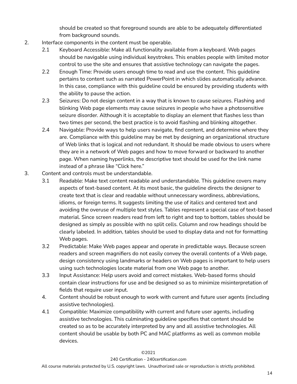should be created so that foreground sounds are able to be adequately differentiated from background sounds.

- 2. Interface components in the content must be operable.
	- 2.1 Keyboard Accessible: Make all functionality available from a keyboard. Web pages should be navigable using individual keystrokes. This enables people with limited motor control to use the site and ensures that assistive technology can navigate the pages.
	- 2.2 Enough Time: Provide users enough time to read and use the content. This guideline pertains to content such as narrated PowerPoint in which slides automatically advance. In this case, compliance with this guideline could be ensured by providing students with the ability to pause the action.
	- 2.3 Seizures: Do not design content in a way that is known to cause seizures. Flashing and blinking Web page elements may cause seizures in people who have a photosensitive seizure disorder. Although it is acceptable to display an element that flashes less than two times per second, the best practice is to avoid flashing and blinking altogether.
	- 2.4 Navigable: Provide ways to help users navigate, find content, and determine where they are. Compliance with this guideline may be met by designing an organizational structure of Web links that is logical and not redundant. It should be made obvious to users where they are in a network of Web pages and how to move forward or backward to another page. When naming hyperlinks, the descriptive text should be used for the link name instead of a phrase like "Click here."
- 3. Content and controls must be understandable.
	- 3.1 Readable: Make text content readable and understandable. This guideline covers many aspects of text-based content. At its most basic, the guideline directs the designer to create text that is clear and readable without unnecessary wordiness, abbreviations, idioms, or foreign terms. It suggests limiting the use of italics and centered text and avoiding the overuse of multiple text styles. Tables represent a special case of text-based material. Since screen readers read from left to right and top to bottom, tables should be designed as simply as possible with no split cells. Column and row headings should be clearly labeled. In addition, tables should be used to display data and not for formatting Web pages.
	- 3.2 Predictable: Make Web pages appear and operate in predictable ways. Because screen readers and screen magnifiers do not easily convey the overall contents of a Web page, design consistency using landmarks or headers on Web pages is important to help users using such technologies locate material from one Web page to another.
	- 3.3 Input Assistance: Help users avoid and correct mistakes. Web-based forms should contain clear instructions for use and be designed so as to minimize misinterpretation of fields that require user input.
	- 4. Content should be robust enough to work with current and future user agents (including assistive technologies).
	- 4.1 Compatible: Maximize compatibility with current and future user agents, including assistive technologies. This culminating guideline specifies that content should be created so as to be accurately interpreted by any and all assistive technologies. All content should be usable by both PC and MAC platforms as well as common mobile devices.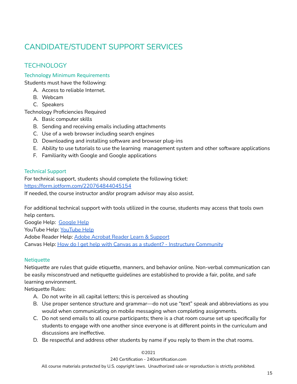## <span id="page-14-0"></span>CANDIDATE/STUDENT SUPPORT SERVICES

## <span id="page-14-1"></span>**TECHNOLOGY**

## <span id="page-14-2"></span>Technology Minimum Requirements

Students must have the following:

- A. Access to reliable Internet.
- B. Webcam
- C. Speakers

Technology Proficiencies Required

- A. Basic computer skills
- B. Sending and receiving emails including attachments
- C. Use of a web browser including search engines
- D. Downloading and installing software and browser plug-ins
- E. Ability to use tutorials to use the learning management system and other software applications
- F. Familiarity with Google and Google applications

## <span id="page-14-3"></span>Technical Support

For technical support, students should complete the following ticket: <https://form.jotform.com/220764844045154>

If needed, the course instructor and/or program advisor may also assist.

For additional technical support with tools utilized in the course, students may access that tools own help centers.

Google Help: [Google](https://support.google.com/) Help [YouTube](https://support.google.com/youtube/?hl=en#topic=9257498) Help: YouTube Help Adobe Reader Help: **Adobe Acrobat Reader Learn & [Support](https://helpx.adobe.com/support/reader.html)** Canvas Help: How do I get help with Canvas as a student? - Instructure [Community](https://community.canvaslms.com/t5/Student-Guide/How-do-I-get-help-with-Canvas-as-a-student/ta-p/498)

## <span id="page-14-4"></span>**Netiquette**

Netiquette are rules that guide etiquette, manners, and behavior online. Non-verbal communication can be easily misconstrued and netiquette guidelines are established to provide a fair, polite, and safe learning environment.

Netiquette Rules:

- A. Do not write in all capital letters; this is perceived as shouting
- B. Use proper sentence structure and grammar—do not use "text" speak and abbreviations as you would when communicating on mobile messaging when completing assignments.
- C. Do not send emails to all course participants; there is a chat room course set up specifically for students to engage with one another since everyone is at different points in the curriculum and discussions are ineffective.
- D. Be respectful and address other students by name if you reply to them in the chat rooms.

## ©2021

#### 240 Certification - 240certification.com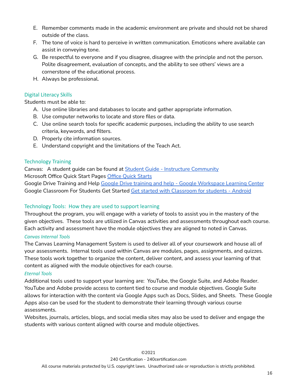- E. Remember comments made in the academic environment are private and should not be shared outside of the class.
- F. The tone of voice is hard to perceive in written communication. Emoticons where available can assist in conveying tone.
- G. Be respectful to everyone and if you disagree, disagree with the principle and not the person. Polite disagreement, evaluation of concepts, and the ability to see others' views are a cornerstone of the educational process.
- H. Always be professional.

## <span id="page-15-0"></span>Digital Literacy Skills

Students must be able to:

- A. Use online libraries and databases to locate and gather appropriate information.
- B. Use computer networks to locate and store files or data.
- C. Use online search tools for specific academic purposes, including the ability to use search criteria, keywords, and filters.
- D. Properly cite information sources.
- E. Understand copyright and the limitations of the Teach Act.

## <span id="page-15-1"></span>Technology Training

Canvas: A student guide can be found at Student Guide - Instructure [Community](https://community.canvaslms.com/t5/Student-Guide/tkb-p/student) Microsoft Office Quick Start Pages Office Quick [Starts](https://support.microsoft.com/en-us/office/office-quick-starts-25f909da-3e76-443d-94f4-6cdf7dedc51e)

Google Drive Training and Help Google Drive training and help - Google [Workspace](https://support.google.com/a/users/answer/9282958?hl=en) Learning Center Google [Classroom](https://support.google.com/edu/classroom/answer/9582544?co=GENIE.Platform%3DAndroid&hl=en) For Students Get Started Get started with Classroom for students - Android

## Technology Tools: How they are used to support learning

Throughout the program, you will engage with a variety of tools to assist you in the mastery of the given objectives. These tools are utilized in Canvas activities and assessments throughout each course. Each activity and assessment have the module objectives they are aligned to noted in Canvas.

## *Canvas Internal Tools*

The Canvas Learning Management System is used to deliver all of your coursework and house all of your assessments. Internal tools used within Canvas are modules, pages, assignments, and quizzes. These tools work together to organize the content, deliver content, and assess your learning of that content as aligned with the module objectives for each course.

## *Eternal Tools*

Additional tools used to support your learning are: YouTube, the Google Suite, and Adobe Reader. YouTube and Adobe provide access to content tied to course and module objectives. Google Suite allows for interaction with the content via Google Apps such as Docs, Slides, and Sheets. These Google Apps also can be used for the student to demonstrate their learning through various course assessments.

Websites, journals, articles, blogs, and social media sites may also be used to deliver and engage the students with various content aligned with course and module objectives.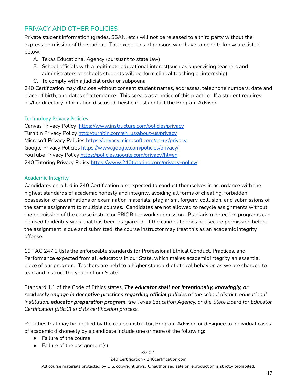## <span id="page-16-0"></span>PRIVACY AND OTHER POLICIES

Private student information (grades, SSAN, etc.) will not be released to a third party without the express permission of the student. The exceptions of persons who have to need to know are listed below:

- A. Texas Educational Agency (pursuant to state law)
- B. School officials with a legitimate educational interest(such as supervising teachers and administrators at schools students will perform clinical teaching or internship)
- C. To comply with a judicial order or subpoena

240 Certification may disclose without consent student names, addresses, telephone numbers, date and place of birth, and dates of attendance. This serves as a notice of this practice. If a student requires his/her directory information disclosed, he/she must contact the Program Advisor.

## <span id="page-16-1"></span>Technology Privacy Policies

Canvas Privacy Policy <https://www.instructure.com/policies/privacy> TurnItIn Privacy Policy [http://turnitin.com/en\\_us/about-us/privacy](http://turnitin.com/en_us/about-us/privacy) Microsoft Privacy Policies <https://privacy.microsoft.com/en-us/privacy> Google Privacy Policies <https://www.google.com/policies/privacy/> YouTube Privacy Policy <https://policies.google.com/privacy?hl=en> 240 Tutoring Privacy Policy <https://www.240tutoring.com/privacy-policy/>

## <span id="page-16-2"></span>Academic Integrity

Candidates enrolled in 240 Certification are expected to conduct themselves in accordance with the highest standards of academic honesty and integrity, avoiding all forms of cheating, forbidden possession of examinations or examination materials, plagiarism, forgery, collusion, and submissions of the same assignment to multiple courses. Candidates are not allowed to recycle assignments without the permission of the course instructor PRIOR the work submission. Plagiarism detection programs can be used to identify work that has been plagiarized. If the candidate does not secure permission before the assignment is due and submitted, the course instructor may treat this as an academic integrity offense.

19 TAC 247.2 lists the enforceable standards for Professional Ethical Conduct, Practices, and Performance expected from all educators in our State, which makes academic integrity an essential piece of our program. Teachers are held to a higher standard of ethical behavior, as we are charged to lead and instruct the youth of our State.

Standard 1.1 of the Code of Ethics states, *The educator shall not intentionally, knowingly, or recklessly engage in deceptive practices regarding official policies of the school district, educational institution, educator preparation program, the Texas Education Agency, or the State Board for Educator Certification (SBEC) and its certification process.*

Penalties that may be applied by the course instructor, Program Advisor, or designee to individual cases of academic dishonesty by a candidate include one or more of the following:

- Failure of the course
- $\bullet$  Failure of the assignment(s)

## ©2021

240 Certification - 240certification.com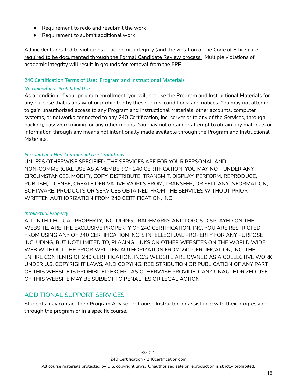- Requirement to redo and resubmit the work
- Requirement to submit additional work

All incidents related to violations of academic integrity (and the violation of the Code of Ethics) are required to be documented through the Formal Candidate Review process. Multiple violations of academic integrity will result in grounds for removal from the EPP.

## 240 Certification Terms of Use: Program and Instructional Materials

#### <span id="page-17-0"></span>*No Unlawful or Prohibited Use*

As a condition of your program enrollment, you will not use the Program and Instructional Materials for any purpose that is unlawful or prohibited by these terms, conditions, and notices. You may not attempt to gain unauthorized access to any Program and Instructional Materials, other accounts, computer systems, or networks connected to any 240 Certification, Inc. server or to any of the Services, through hacking, password mining, or any other means. You may not obtain or attempt to obtain any materials or information through any means not intentionally made available through the Program and Instructional Materials.

## <span id="page-17-1"></span>*Personal and Non-Commercial Use Limitations*

UNLESS OTHERWISE SPECIFIED, THE SERVICES ARE FOR YOUR PERSONAL AND NON-COMMERCIAL USE AS A MEMBER OF 240 CERTIFICATION. YOU MAY NOT, UNDER ANY CIRCUMSTANCES, MODIFY, COPY, DISTRIBUTE, TRANSMIT, DISPLAY, PERFORM, REPRODUCE, PUBLISH, LICENSE, CREATE DERIVATIVE WORKS FROM, TRANSFER, OR SELL ANY INFORMATION, SOFTWARE, PRODUCTS OR SERVICES OBTAINED FROM THE SERVICES WITHOUT PRIOR WRITTEN AUTHORIZATION FROM 240 CERTIFICATION, INC.

#### <span id="page-17-2"></span>*Intellectual Property*

ALL INTELLECTUAL PROPERTY, INCLUDING TRADEMARKS AND LOGOS DISPLAYED ON THE WEBSITE, ARE THE EXCLUSIVE PROPERTY OF 240 CERTIFICATION, INC. YOU ARE RESTRICTED FROM USING ANY OF 240 CERTIFICATION INC.'S INTELLECTUAL PROPERTY FOR ANY PURPOSE INCLUDING, BUT NOT LIMITED TO, PLACING LINKS ON OTHER WEBSITES ON THE WORLD WIDE WEB WITHOUT THE PRIOR WRITTEN AUTHORIZATION FROM 240 CERTIFICATION, INC. THE ENTIRE CONTENTS OF 240 CERTIFICATION, INC.'S WEBSITE ARE OWNED AS A COLLECTIVE WORK UNDER U.S. COPYRIGHT LAWS, AND COPYING, REDISTRIBUTION OR PUBLICATION OF ANY PART OF THIS WEBSITE IS PROHIBITED EXCEPT AS OTHERWISE PROVIDED. ANY UNAUTHORIZED USE OF THIS WEBSITE MAY BE SUBJECT TO PENALTIES OR LEGAL ACTION.

## <span id="page-17-3"></span>ADDITIONAL SUPPORT SERVICES

Students may contact their Program Advisor or Course Instructor for assistance with their progression through the program or in a specific course.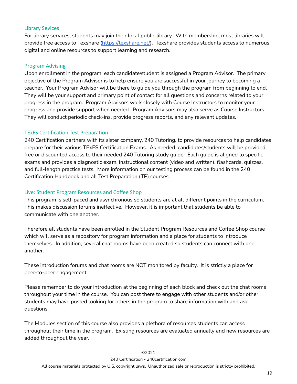## <span id="page-18-0"></span>Library Sevices

For library services, students may join their local public library. With membership, most libraries will provide free access to Texshare (<https://texshare.net/>). Texshare provides students access to numerous digital and online resources to support learning and research.

#### <span id="page-18-1"></span>Program Advising

Upon enrollment in the program, each candidate/student is assigned a Program Advisor. The primary objective of the Program Advisor is to help ensure you are successful in your journey to becoming a teacher. Your Program Advisor will be there to guide you through the program from beginning to end. They will be your support and primary point of contact for all questions and concerns related to your progress in the program. Program Advisors work closely with Course Instructors to monitor your progress and provide support when needed. Program Advisors may also serve as Course Instructors. They will conduct periodic check-ins, provide progress reports, and any relevant updates.

## <span id="page-18-2"></span>TExES Certification Test Preparation

240 Certification partners with its sister company, 240 Tutoring, to provide resources to help candidates prepare for their various TExES Certification Exams. As needed, candidates/students will be provided free or discounted access to their needed 240 Tutoring study guide. Each guide is aligned to specific exams and provides a diagnostic exam, instructional content (video and written), flashcards, quizzes, and full-length practice tests. More information on our testing process can be found in the 240 Certification Handbook and all Test Preparation (TP) courses.

## <span id="page-18-3"></span>Live: Student Program Resources and Coffee Shop

This program is self-paced and asynchronous so students are at all different points in the curriculum. This makes discussion forums ineffective. However, it is important that students be able to communicate with one another.

Therefore all students have been enrolled in the Student Program Resources and Coffee Shop course which will serve as a repository for program information and a place for students to introduce themselves. In addition, several chat rooms have been created so students can connect with one another.

These introduction forums and chat rooms are NOT monitored by faculty. It is strictly a place for peer-to-peer engagement.

Please remember to do your introduction at the beginning of each block and check out the chat rooms throughout your time in the course. You can post there to engage with other students and/or other students may have posted looking for others in the program to share information with and ask questions.

The Modules section of this course also provides a plethora of resources students can access throughout their time in the program. Existing resources are evaluated annually and new resources are added throughout the year.